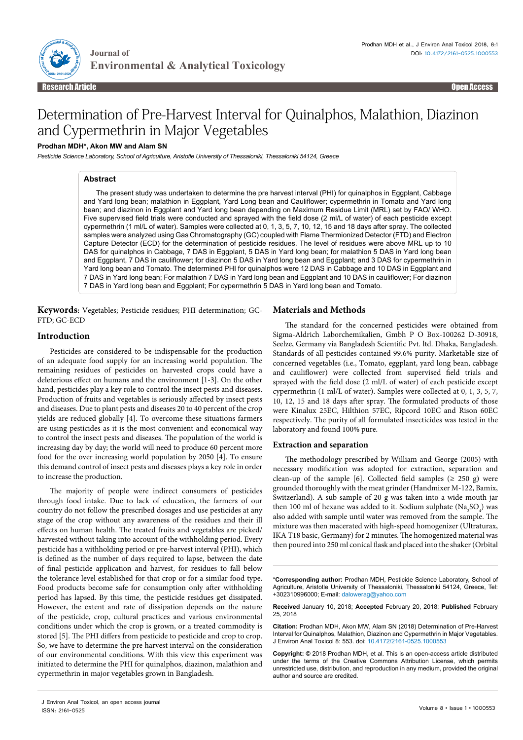

# Determination of Pre-Harvest Interval for Quinalphos, Malathion, Diazinon and Cypermethrin in Major Vegetables

## **Prodhan MDH\*, Akon MW and Alam SN**

*Pesticide Science Laboratory, School of Agriculture, Aristotle University of Thessaloniki, Thessaloniki 54124, Greece*

## **Abstract**

The present study was undertaken to determine the pre harvest interval (PHI) for quinalphos in Eggplant, Cabbage and Yard long bean; malathion in Eggplant, Yard Long bean and Cauliflower; cypermethrin in Tomato and Yard long bean; and diazinon in Eggplant and Yard long bean depending on Maximum Residue Limit (MRL) set by FAO/ WHO. Five supervised field trials were conducted and sprayed with the field dose (2 ml/L of water) of each pesticide except cypermethrin (1 ml/L of water). Samples were collected at 0, 1, 3, 5, 7, 10, 12, 15 and 18 days after spray. The collected samples were analyzed using Gas Chromatography (GC) coupled with Flame Thermionized Detector (FTD) and Electron Capture Detector (ECD) for the determination of pesticide residues. The level of residues were above MRL up to 10 DAS for quinalphos in Cabbage, 7 DAS in Eggplant, 5 DAS in Yard long bean; for malathion 5 DAS in Yard long bean and Eggplant, 7 DAS in cauliflower; for diazinon 5 DAS in Yard long bean and Eggplant; and 3 DAS for cypermethrin in Yard long bean and Tomato. The determined PHI for quinalphos were 12 DAS in Cabbage and 10 DAS in Eggplant and 7 DAS in Yard long bean; For malathion 7 DAS in Yard long bean and Eggplant and 10 DAS in cauliflower; For diazinon 7 DAS in Yard long bean and Eggplant; For cypermethrin 5 DAS in Yard long bean and Tomato.

**Keywords:** Vegetables; Pesticide residues; PHI determination; GC-FTD; GC-ECD

#### **Introduction**

Pesticides are considered to be indispensable for the production of an adequate food supply for an increasing world population. The remaining residues of pesticides on harvested crops could have a deleterious effect on humans and the environment [1-3]. On the other hand, pesticides play a key role to control the insect pests and diseases. Production of fruits and vegetables is seriously affected by insect pests and diseases. Due to plant pests and diseases 20 to 40 percent of the crop yields are reduced globally [4]. To overcome these situations farmers are using pesticides as it is the most convenient and economical way to control the insect pests and diseases. The population of the world is increasing day by day; the world will need to produce 60 percent more food for the over increasing world population by 2050 [4]. To ensure this demand control of insect pests and diseases plays a key role in order to increase the production.

The majority of people were indirect consumers of pesticides through food intake. Due to lack of education, the farmers of our country do not follow the prescribed dosages and use pesticides at any stage of the crop without any awareness of the residues and their ill effects on human health. The treated fruits and vegetables are picked/ harvested without taking into account of the withholding period. Every pesticide has a withholding period or pre-harvest interval (PHI), which is defined as the number of days required to lapse, between the date of final pesticide application and harvest, for residues to fall below the tolerance level established for that crop or for a similar food type. Food products become safe for consumption only after withholding period has lapsed. By this time, the pesticide residues get dissipated. However, the extent and rate of dissipation depends on the nature of the pesticide, crop, cultural practices and various environmental conditions under which the crop is grown, or a treated commodity is stored [5]. The PHI differs from pesticide to pesticide and crop to crop. So, we have to determine the pre harvest interval on the consideration of our environmental conditions. With this view this experiment was initiated to determine the PHI for quinalphos, diazinon, malathion and cypermethrin in major vegetables grown in Bangladesh.

#### **Materials and Methods**

The standard for the concerned pesticides were obtained from Sigma-Aldrich Laborchemikalien, Gmbh P O Box-100262 D-30918, Seelze, Germany via Bangladesh Scientific Pvt. ltd. Dhaka, Bangladesh. Standards of all pesticides contained 99.6% purity. Marketable size of concerned vegetables (i.e., Tomato, eggplant, yard long bean, cabbage and cauliflower) were collected from supervised field trials and sprayed with the field dose (2 ml/L of water) of each pesticide except cypermethrin (1 ml/L of water). Samples were collected at 0, 1, 3, 5, 7, 10, 12, 15 and 18 days after spray. The formulated products of those were Kinalux 25EC, Hilthion 57EC, Ripcord 10EC and Rison 60EC respectively. The purity of all formulated insecticides was tested in the laboratory and found 100% pure.

#### **Extraction and separation**

The methodology prescribed by William and George (2005) with necessary modification was adopted for extraction, separation and clean-up of the sample [6]. Collected field samples ( $\geq$  250 g) were grounded thoroughly with the meat grinder (Handmixer M-122, Bamix, Switzerland). A sub sample of 20 g was taken into a wide mouth jar then 100 ml of hexane was added to it. Sodium sulphate  $(Na_2SO_4)$  was also added with sample until water was removed from the sample. The mixture was then macerated with high-speed homogenizer (Ultraturax, IKA T18 basic, Germany) for 2 minutes. The homogenized material was then poured into 250 ml conical flask and placed into the shaker (Orbital

**\*Corresponding author:** Prodhan MDH, Pesticide Science Laboratory, School of Agriculture, Aristotle University of Thessaloniki, Thessaloniki 54124, Greece, Tel: +302310996000; E-mail: dalowerag@yahoo.com

**Received** January 10, 2018; **Accepted** February 20, 2018; **Published** February 25, 2018

**Citation:** Prodhan MDH, Akon MW, Alam SN (2018) Determination of Pre-Harvest Interval for Quinalphos, Malathion, Diazinon and Cypermethrin in Major Vegetables. J Environ Anal Toxicol 8: 553. doi: 10.4172/2161-0525.1000553

**Copyright:** © 2018 Prodhan MDH, et al. This is an open-access article distributed under the terms of the Creative Commons Attribution License, which permits unrestricted use, distribution, and reproduction in any medium, provided the original author and source are credited.

J Environ Anal Toxicol, an open access journal ISSN: 2161-0525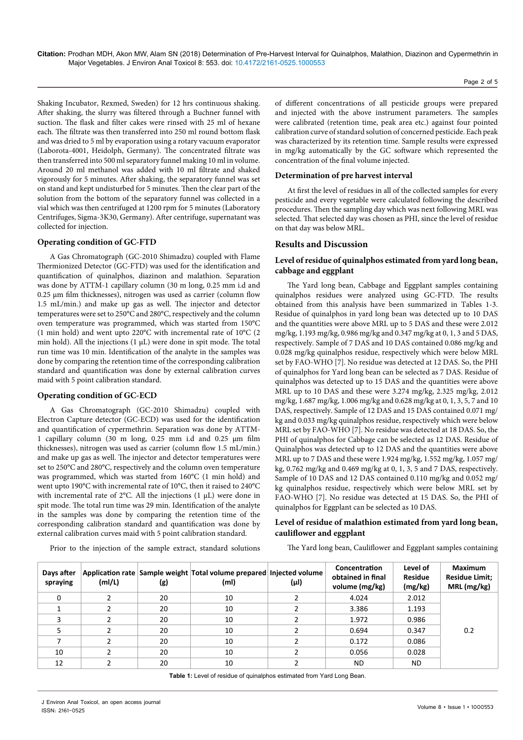Shaking Incubator, Rexmed, Sweden) for 12 hrs continuous shaking. After shaking, the slurry was filtered through a Buchner funnel with suction. The flask and filter cakes were rinsed with 25 ml of hexane each. The filtrate was then transferred into 250 ml round bottom flask and was dried to 5 ml by evaporation using a rotary vacuum evaporator (Laborota-4001, Heidolph, Germany). The concentrated filtrate was then transferred into 500 ml separatory funnel making 10 ml in volume. Around 20 ml methanol was added with 10 ml filtrate and shaked vigorously for 5 minutes. After shaking, the separatory funnel was set on stand and kept undisturbed for 5 minutes. Then the clear part of the solution from the bottom of the separatory funnel was collected in a vial which was then centrifuged at 1200 rpm for 5 minutes (Laboratory Centrifuges, Sigma-3K30, Germany). After centrifuge, supernatant was collected for injection.

## **Operating condition of GC-FTD**

A Gas Chromatograph (GC-2010 Shimadzu) coupled with Flame Thermionized Detector (GC-FTD) was used for the identification and quantification of quinalphos, diazinon and malathion. Separation was done by ATTM-1 capillary column (30 m long, 0.25 mm i.d and 0.25 μm film thicknesses), nitrogen was used as carrier (column flow 1.5 mL/min.) and make up gas as well. The injector and detector temperatures were set to 250°C and 280°C, respectively and the column oven temperature was programmed, which was started from 150°C (1 min hold) and went upto 220°C with incremental rate of 10°C (2 min hold). All the injections  $(1 \mu L)$  were done in spit mode. The total run time was 10 min. Identification of the analyte in the samples was done by comparing the retention time of the corresponding calibration standard and quantification was done by external calibration curves maid with 5 point calibration standard.

#### **Operating condition of GC-ECD**

A Gas Chromatograph (GC-2010 Shimadzu) coupled with Electron Capture detector (GC-ECD) was used for the identification and quantification of cypermethrin. Separation was done by ATTM-1 capillary column (30 m long, 0.25 mm i.d and 0.25 μm film thicknesses), nitrogen was used as carrier (column flow 1.5 mL/min.) and make up gas as well. The injector and detector temperatures were set to 250°C and 280°C, respectively and the column oven temperature was programmed, which was started from 160°C (1 min hold) and went upto 190°C with incremental rate of 10°C, then it raised to 240°C with incremental rate of 2°C. All the injections (1 μL) were done in spit mode. The total run time was 29 min. Identification of the analyte in the samples was done by comparing the retention time of the corresponding calibration standard and quantification was done by external calibration curves maid with 5 point calibration standard.

of different concentrations of all pesticide groups were prepared and injected with the above instrument parameters. The samples were calibrated (retention time, peak area etc.) against four pointed calibration curve of standard solution of concerned pesticide. Each peak was characterized by its retention time. Sample results were expressed in mg/kg automatically by the GC software which represented the concentration of the final volume injected.

#### **Determination of pre harvest interval**

At first the level of residues in all of the collected samples for every pesticide and every vegetable were calculated following the described procedures. Then the sampling day which was next following MRL was selected. That selected day was chosen as PHI, since the level of residue on that day was below MRL.

## **Results and Discussion**

## **Level of residue of quinalphos estimated from yard long bean, cabbage and eggplant**

The Yard long bean, Cabbage and Eggplant samples containing quinalphos residues were analyzed using GC-FTD. The results obtained from this analysis have been summarized in Tables 1-3. Residue of quinalphos in yard long bean was detected up to 10 DAS and the quantities were above MRL up to 5 DAS and these were 2.012 mg/kg, 1.193 mg/kg, 0.986 mg/kg and 0.347 mg/kg at 0, 1, 3 and 5 DAS, respectively. Sample of 7 DAS and 10 DAS contained 0.086 mg/kg and 0.028 mg/kg quinalphos residue, respectively which were below MRL set by FAO-WHO [7]. No residue was detected at 12 DAS. So, the PHI of quinalphos for Yard long bean can be selected as 7 DAS. Residue of quinalphos was detected up to 15 DAS and the quantities were above MRL up to 10 DAS and these were 3.274 mg/kg, 2.325 mg/kg, 2.012 mg/kg, 1.687 mg/kg, 1.006 mg/kg and 0.628 mg/kg at 0, 1, 3, 5, 7 and 10 DAS, respectively. Sample of 12 DAS and 15 DAS contained 0.071 mg/ kg and 0.033 mg/kg quinalphos residue, respectively which were below MRL set by FAO-WHO [7]. No residue was detected at 18 DAS. So, the PHI of quinalphos for Cabbage can be selected as 12 DAS. Residue of Quinalphos was detected up to 12 DAS and the quantities were above MRL up to 7 DAS and these were 1.924 mg/kg, 1.552 mg/kg, 1.057 mg/ kg, 0.762 mg/kg and 0.469 mg/kg at 0, 1, 3, 5 and 7 DAS, respectively. Sample of 10 DAS and 12 DAS contained 0.110 mg/kg and 0.052 mg/ kg quinalphos residue, respectively which were below MRL set by FAO-WHO [7]. No residue was detected at 15 DAS. So, the PHI of quinalphos for Eggplant can be selected as 10 DAS.

## **Level of residue of malathion estimated from yard long bean, cauliflower and eggplant**

Prior to the injection of the sample extract, standard solutions

The Yard long bean, Cauliflower and Eggplant samples containing

| Days after<br>spraying | (mI/L) | (g) | Application rate Sample weight Total volume prepared Injected volume<br>(ml) | (µl) | Concentration<br>obtained in final<br>volume (mg/kg) | Level of<br><b>Residue</b><br>(mg/kg) | Maximum<br><b>Residue Limit;</b><br>MRL (mg/kg) |
|------------------------|--------|-----|------------------------------------------------------------------------------|------|------------------------------------------------------|---------------------------------------|-------------------------------------------------|
|                        |        | 20  | 10                                                                           |      | 4.024                                                | 2.012                                 |                                                 |
|                        |        | 20  | 10                                                                           |      | 3.386                                                | 1.193                                 |                                                 |
|                        |        | 20  | 10                                                                           |      | 1.972                                                | 0.986                                 |                                                 |
|                        |        | 20  | 10                                                                           |      | 0.694                                                | 0.347                                 | 0.2                                             |
|                        |        | 20  | 10                                                                           |      | 0.172                                                | 0.086                                 |                                                 |
| 10                     |        | 20  | 10                                                                           |      | 0.056                                                | 0.028                                 |                                                 |
| 12                     |        | 20  | 10                                                                           |      | ND.                                                  | ND.                                   |                                                 |

**Table 1:** Level of residue of quinalphos estimated from Yard Long Bean.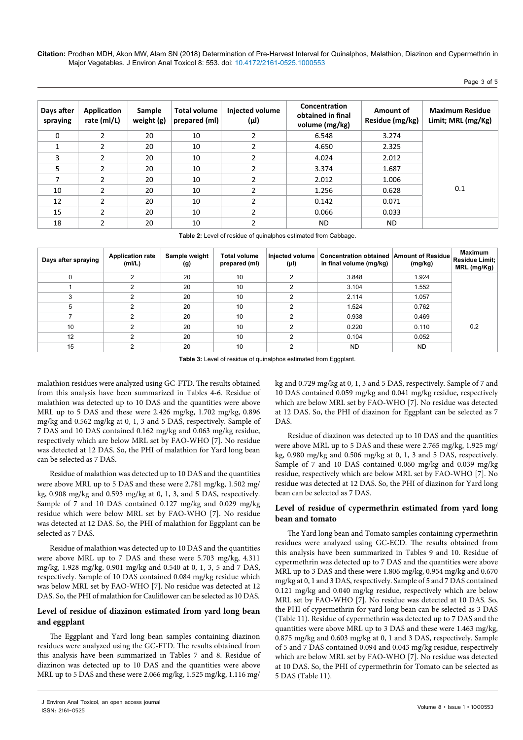Page 3 of 5

| Days after<br>spraying | Application<br>rate (ml/L) | Sample<br>weight (g) | <b>Total volume</b><br>prepared (ml) | Injected volume<br>(µl) | Concentration<br>obtained in final<br>volume (mg/kg) | Amount of<br>Residue (mg/kg) | <b>Maximum Residue</b><br>Limit; MRL (mg/Kg) |
|------------------------|----------------------------|----------------------|--------------------------------------|-------------------------|------------------------------------------------------|------------------------------|----------------------------------------------|
| $\Omega$               | 2                          | 20                   | 10                                   | $\mathfrak{p}$          | 6.548                                                | 3.274                        |                                              |
|                        | 2                          | 20                   | 10                                   |                         | 4.650                                                | 2.325                        |                                              |
| 3                      | 2                          | 20                   | 10                                   |                         | 4.024                                                | 2.012                        |                                              |
| 5                      | $\overline{2}$             | 20                   | 10                                   | 2                       | 3.374                                                | 1.687                        |                                              |
| ⇁                      | 2                          | 20                   | 10                                   | C.                      | 2.012                                                | 1.006                        |                                              |
| 10                     | $\mathfrak z$              | 20                   | 10                                   | C                       | 1.256                                                | 0.628                        | 0.1                                          |
| 12                     | 2                          | 20                   | 10                                   | C.                      | 0.142                                                | 0.071                        |                                              |
| 15                     | $\mathfrak{p}$             | 20                   | 10                                   | C.                      | 0.066                                                | 0.033                        |                                              |
| 18                     | 2                          | 20                   | 10                                   |                         | ND                                                   | ND.                          |                                              |

**Table 2:** Level of residue of quinalphos estimated from Cabbage.

| Days after spraying | <b>Application rate</b><br>(mI/L) | Sample weight<br>(g) | <b>Total volume</b><br>prepared (ml) | Injected volume<br>(µl) | Concentration obtained Amount of Residue<br>in final volume (mg/kg) | (mg/kg)   | <b>Maximum</b><br>Residue Limit;<br>MRL (mg/Kg) |
|---------------------|-----------------------------------|----------------------|--------------------------------------|-------------------------|---------------------------------------------------------------------|-----------|-------------------------------------------------|
|                     |                                   | 20                   | 10                                   |                         | 3.848                                                               | 1.924     |                                                 |
|                     |                                   | 20                   | 10                                   |                         | 3.104                                                               | 1.552     |                                                 |
|                     |                                   | 20                   | 10                                   | ົ                       | 2.114                                                               | 1.057     |                                                 |
|                     |                                   | 20                   | 10                                   |                         | 1.524                                                               | 0.762     |                                                 |
|                     |                                   | 20                   | 10                                   | ◠                       | 0.938                                                               | 0.469     |                                                 |
| 10                  |                                   | 20                   | 10                                   | ◠                       | 0.220                                                               | 0.110     | 0.2                                             |
| 12                  |                                   | 20                   | 10                                   | ◠                       | 0.104                                                               | 0.052     |                                                 |
| 15                  |                                   | 20                   | 10                                   | ົ                       | <b>ND</b>                                                           | <b>ND</b> |                                                 |

**Table 3:** Level of residue of quinalphos estimated from Eggplant.

malathion residues were analyzed using GC-FTD. The results obtained from this analysis have been summarized in Tables 4-6. Residue of malathion was detected up to 10 DAS and the quantities were above MRL up to 5 DAS and these were 2.426 mg/kg, 1.702 mg/kg, 0.896 mg/kg and 0.562 mg/kg at 0, 1, 3 and 5 DAS, respectively. Sample of 7 DAS and 10 DAS contained 0.162 mg/kg and 0.063 mg/kg residue, respectively which are below MRL set by FAO-WHO [7]. No residue was detected at 12 DAS. So, the PHI of malathion for Yard long bean can be selected as 7 DAS.

Residue of malathion was detected up to 10 DAS and the quantities were above MRL up to 5 DAS and these were 2.781 mg/kg, 1.502 mg/ kg, 0.908 mg/kg and 0.593 mg/kg at 0, 1, 3, and 5 DAS, respectively. Sample of 7 and 10 DAS contained 0.127 mg/kg and 0.029 mg/kg residue which were below MRL set by FAO-WHO [7]. No residue was detected at 12 DAS. So, the PHI of malathion for Eggplant can be selected as 7 DAS.

Residue of malathion was detected up to 10 DAS and the quantities were above MRL up to 7 DAS and these were 5.703 mg/kg, 4.311 mg/kg, 1.928 mg/kg, 0.901 mg/kg and 0.540 at 0, 1, 3, 5 and 7 DAS, respectively. Sample of 10 DAS contained 0.084 mg/kg residue which was below MRL set by FAO-WHO [7]. No residue was detected at 12 DAS. So, the PHI of malathion for Cauliflower can be selected as 10 DAS.

# **Level of residue of diazinon estimated from yard long bean and eggplant**

The Eggplant and Yard long bean samples containing diazinon residues were analyzed using the GC-FTD. The results obtained from this analysis have been summarized in Tables 7 and 8. Residue of diazinon was detected up to 10 DAS and the quantities were above MRL up to 5 DAS and these were 2.066 mg/kg, 1.525 mg/kg, 1.116 mg/

kg and 0.729 mg/kg at 0, 1, 3 and 5 DAS, respectively. Sample of 7 and 10 DAS contained 0.059 mg/kg and 0.041 mg/kg residue, respectively which are below MRL set by FAO-WHO [7]. No residue was detected at 12 DAS. So, the PHI of diazinon for Eggplant can be selected as 7 DAS.

Residue of diazinon was detected up to 10 DAS and the quantities were above MRL up to 5 DAS and these were 2.765 mg/kg, 1.925 mg/ kg, 0.980 mg/kg and 0.506 mg/kg at 0, 1, 3 and 5 DAS, respectively. Sample of 7 and 10 DAS contained 0.060 mg/kg and 0.039 mg/kg residue, respectively which are below MRL set by FAO-WHO [7]. No residue was detected at 12 DAS. So, the PHI of diazinon for Yard long bean can be selected as 7 DAS.

# **Level of residue of cypermethrin estimated from yard long bean and tomato**

The Yard long bean and Tomato samples containing cypermethrin residues were analyzed using GC-ECD. The results obtained from this analysis have been summarized in Tables 9 and 10. Residue of cypermethrin was detected up to 7 DAS and the quantities were above MRL up to 3 DAS and these were 1.806 mg/kg, 0.954 mg/kg and 0.670 mg/kg at 0, 1 and 3 DAS, respectively. Sample of 5 and 7 DAS contained 0.121 mg/kg and 0.040 mg/kg residue, respectively which are below MRL set by FAO-WHO [7]. No residue was detected at 10 DAS. So, the PHI of cypermethrin for yard long bean can be selected as 3 DAS (Table 11). Residue of cypermethrin was detected up to 7 DAS and the quantities were above MRL up to 3 DAS and these were 1.463 mg/kg, 0.875 mg/kg and 0.603 mg/kg at 0, 1 and 3 DAS, respectively. Sample of 5 and 7 DAS contained 0.094 and 0.043 mg/kg residue, respectively which are below MRL set by FAO-WHO [7]. No residue was detected at 10 DAS. So, the PHI of cypermethrin for Tomato can be selected as 5 DAS (Table 11).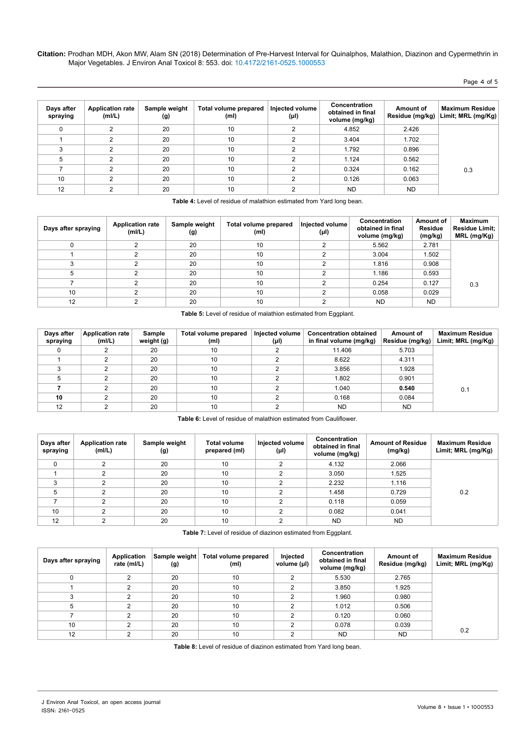Page 4 of 5

| Days after<br>spraying | <b>Application rate</b><br>(mI/L) | Sample weight<br>(g) | Total volume prepared<br>(ml) | Injected volume<br>(µl) | Concentration<br>obtained in final<br>volume (mg/kg) | Amount of<br>Residue (mg/kg) | <b>Maximum Residue</b><br>Limit; MRL (mg/Kg) |
|------------------------|-----------------------------------|----------------------|-------------------------------|-------------------------|------------------------------------------------------|------------------------------|----------------------------------------------|
|                        | ົ                                 | 20                   | 10                            |                         | 4.852                                                | 2.426                        |                                              |
|                        | C                                 | 20                   | 10                            |                         | 3.404                                                | 1.702                        |                                              |
|                        | ົ                                 | 20                   | 10                            |                         | 1.792                                                | 0.896                        |                                              |
| 5                      | C                                 | 20                   | 10                            |                         | 1.124                                                | 0.562                        |                                              |
|                        | ົ                                 | 20                   | 10                            |                         | 0.324                                                | 0.162                        | 0.3                                          |
| 10                     | C                                 | 20                   | 10                            |                         | 0.126                                                | 0.063                        |                                              |
| 12                     |                                   | 20                   | 10                            |                         | <b>ND</b>                                            | ND.                          |                                              |

**Table 4:** Level of residue of malathion estimated from Yard long bean.

| Days after spraying | <b>Application rate</b><br>(mI/L) | Sample weight<br>(g) | Total volume prepared<br>(ml) | Injected volume<br>(µl) | Concentration<br>obtained in final<br>volume (mg/kg) | Amount of<br><b>Residue</b><br>(mg/kg) | <b>Maximum</b><br><b>Residue Limit:</b><br>MRL (mg/Kg) |
|---------------------|-----------------------------------|----------------------|-------------------------------|-------------------------|------------------------------------------------------|----------------------------------------|--------------------------------------------------------|
|                     |                                   | 20                   | 10                            | ◠                       | 5.562                                                | 2.781                                  |                                                        |
|                     |                                   | 20                   | 10                            |                         | 3.004                                                | 1.502                                  |                                                        |
|                     |                                   | 20                   | 10                            |                         | 1.816                                                | 0.908                                  |                                                        |
| Ð                   |                                   | 20                   | 10                            |                         | 1.186                                                | 0.593                                  |                                                        |
|                     |                                   | 20                   | 10                            |                         | 0.254                                                | 0.127                                  | 0.3                                                    |
| 10                  |                                   | 20                   | 10                            |                         | 0.058                                                | 0.029                                  |                                                        |
| 12                  |                                   | 20                   | 10                            |                         | <b>ND</b>                                            | <b>ND</b>                              |                                                        |

**Table 5:** Level of residue of malathion estimated from Eggplant.

| Days after<br>spraying | Application rate<br>(mI/L) | Sample<br>weight (g) | Total volume prepared<br>(m <sub>l</sub> ) | Injected volume<br>$(\mu I)$ | <b>Concentration obtained</b><br>in final volume (mg/kg) | Amount of<br>Residue (mg/kg) | <b>Maximum Residue</b><br>Limit; MRL (mg/Kg) |
|------------------------|----------------------------|----------------------|--------------------------------------------|------------------------------|----------------------------------------------------------|------------------------------|----------------------------------------------|
| 0                      |                            | 20                   | 10                                         |                              | 11.406                                                   | 5.703                        |                                              |
|                        |                            | 20                   | 10                                         |                              | 8.622                                                    | 4.311                        |                                              |
|                        |                            | 20                   | 10                                         |                              | 3.856                                                    | 1.928                        |                                              |
|                        |                            | 20                   | 10                                         |                              | 1.802                                                    | 0.901                        |                                              |
|                        |                            | 20                   | 10                                         |                              | 1.040                                                    | 0.540                        | 0.1                                          |
| 10                     |                            | 20                   | 10                                         |                              | 0.168                                                    | 0.084                        |                                              |
| 12                     |                            | 20                   | 10                                         |                              | ND.                                                      | <b>ND</b>                    |                                              |

**Table 6:** Level of residue of malathion estimated from Cauliflower.

| Days after<br>spraying | <b>Application rate</b><br>(mI/L) | Sample weight<br>(g) | <b>Total volume</b><br>prepared (ml) | Injected volume<br>(µl) | Concentration<br>obtained in final<br>volume (mg/kg) | <b>Amount of Residue</b><br>(mg/kg) | <b>Maximum Residue</b><br>Limit; MRL (mg/Kg) |
|------------------------|-----------------------------------|----------------------|--------------------------------------|-------------------------|------------------------------------------------------|-------------------------------------|----------------------------------------------|
| 0                      | 2                                 | 20                   | 10                                   | ◠                       | 4.132                                                | 2.066                               |                                              |
|                        |                                   | 20                   | 10                                   | ◠                       | 3.050                                                | 1.525                               |                                              |
|                        |                                   | 20                   | 10                                   | ◠                       | 2.232                                                | 1.116                               |                                              |
| 5                      |                                   | 20                   | 10                                   | ◠                       | 1.458                                                | 0.729                               | 0.2                                          |
|                        | 2                                 | 20                   | 10                                   | ◠                       | 0.118                                                | 0.059                               |                                              |
| 10                     |                                   | 20                   | 10                                   | ◠                       | 0.082                                                | 0.041                               |                                              |
| 12                     |                                   | 20                   | 10                                   | ◠                       | <b>ND</b>                                            | <b>ND</b>                           |                                              |

**Table 7:** Level of residue of diazinon estimated from Eggplant.

| Days after spraying | Application<br>rate (ml/L) | Sample weight<br>(g) | Total volume prepared<br>(ml) | Injected<br>volume (µl) | Concentration<br>obtained in final<br>volume (mg/kg) | Amount of<br>Residue (mg/kg) | <b>Maximum Residue</b><br>Limit; MRL (mg/Kg) |
|---------------------|----------------------------|----------------------|-------------------------------|-------------------------|------------------------------------------------------|------------------------------|----------------------------------------------|
|                     |                            | 20                   | 10                            |                         | 5.530                                                | 2.765                        |                                              |
|                     |                            | 20                   | 10                            |                         | 3.850                                                | 1.925                        |                                              |
|                     |                            | 20                   | 10                            |                         | 1.960                                                | 0.980                        |                                              |
|                     |                            | 20                   | 10                            |                         | 1.012                                                | 0.506                        |                                              |
|                     |                            | 20                   | 10                            |                         | 0.120                                                | 0.060                        |                                              |
| 10                  |                            | 20                   | 10                            | c                       | 0.078                                                | 0.039                        |                                              |
| 12                  |                            | 20                   | 10                            |                         | <b>ND</b>                                            | <b>ND</b>                    | 0.2                                          |

**Table 8:** Level of residue of diazinon estimated from Yard long bean.